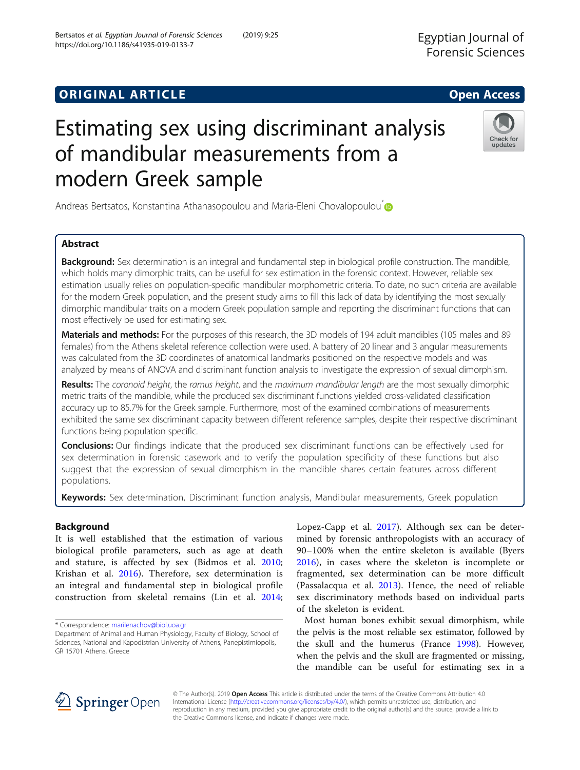## **ORIGINAL ARTICLE CONSERVANCE IN A LOCAL CONSERVANCE IN A LOCAL CONSERVANCE IN A LOCAL CONSERVANCE IN A LOCAL CONS**

# Estimating sex using discriminant analysis of mandibular measurements from a modern Greek sample

Andreas Bertsatos, Konstantina Athanasopoulou and Maria-Eleni Chovalopoulou<sup>\*</sup>

## Abstract

Background: Sex determination is an integral and fundamental step in biological profile construction. The mandible, which holds many dimorphic traits, can be useful for sex estimation in the forensic context. However, reliable sex estimation usually relies on population-specific mandibular morphometric criteria. To date, no such criteria are available for the modern Greek population, and the present study aims to fill this lack of data by identifying the most sexually dimorphic mandibular traits on a modern Greek population sample and reporting the discriminant functions that can most effectively be used for estimating sex.

Materials and methods: For the purposes of this research, the 3D models of 194 adult mandibles (105 males and 89 females) from the Athens skeletal reference collection were used. A battery of 20 linear and 3 angular measurements was calculated from the 3D coordinates of anatomical landmarks positioned on the respective models and was analyzed by means of ANOVA and discriminant function analysis to investigate the expression of sexual dimorphism.

Results: The coronoid height, the ramus height, and the maximum mandibular length are the most sexually dimorphic metric traits of the mandible, while the produced sex discriminant functions yielded cross-validated classification accuracy up to 85.7% for the Greek sample. Furthermore, most of the examined combinations of measurements exhibited the same sex discriminant capacity between different reference samples, despite their respective discriminant functions being population specific.

**Conclusions:** Our findings indicate that the produced sex discriminant functions can be effectively used for sex determination in forensic casework and to verify the population specificity of these functions but also suggest that the expression of sexual dimorphism in the mandible shares certain features across different populations.

Keywords: Sex determination, Discriminant function analysis, Mandibular measurements, Greek population

### Background

It is well established that the estimation of various biological profile parameters, such as age at death and stature, is affected by sex (Bidmos et al. [2010](#page-10-0); Krishan et al. [2016](#page-10-0)). Therefore, sex determination is an integral and fundamental step in biological profile construction from skeletal remains (Lin et al. [2014](#page-10-0);

\* Correspondence: [marilenachov@biol.uoa.gr](mailto:marilenachov@biol.uoa.gr)

Lopez-Capp et al. [2017](#page-10-0)). Although sex can be determined by forensic anthropologists with an accuracy of 90–100% when the entire skeleton is available (Byers [2016\)](#page-10-0), in cases where the skeleton is incomplete or fragmented, sex determination can be more difficult (Passalacqua et al. [2013\)](#page-10-0). Hence, the need of reliable sex discriminatory methods based on individual parts of the skeleton is evident.

Most human bones exhibit sexual dimorphism, while the pelvis is the most reliable sex estimator, followed by the skull and the humerus (France [1998\)](#page-10-0). However, when the pelvis and the skull are fragmented or missing, the mandible can be useful for estimating sex in a









Check for updates

Department of Animal and Human Physiology, Faculty of Biology, School of Sciences, National and Kapodistrian University of Athens, Panepistimiopolis, GR 15701 Athens, Greece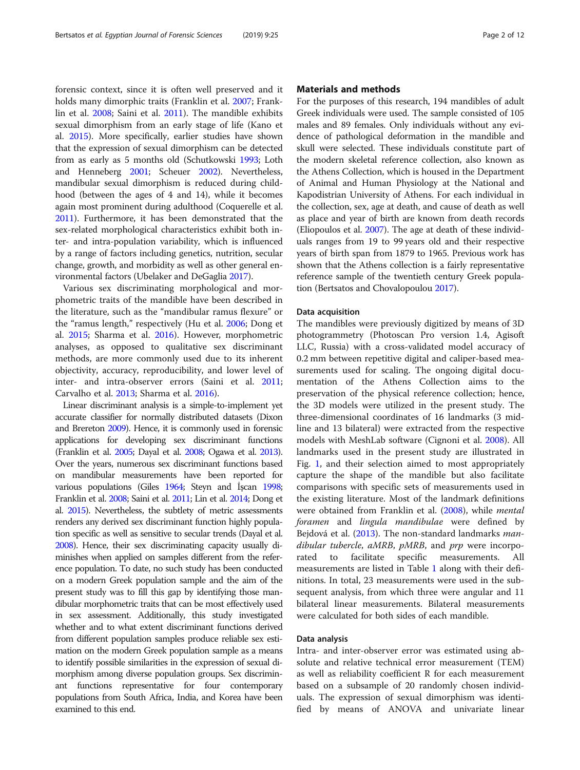forensic context, since it is often well preserved and it holds many dimorphic traits (Franklin et al. [2007;](#page-10-0) Franklin et al. [2008;](#page-10-0) Saini et al. [2011](#page-10-0)). The mandible exhibits sexual dimorphism from an early stage of life (Kano et al. [2015\)](#page-10-0). More specifically, earlier studies have shown that the expression of sexual dimorphism can be detected from as early as 5 months old (Schutkowski [1993](#page-11-0); Loth and Henneberg [2001;](#page-10-0) Scheuer [2002](#page-10-0)). Nevertheless, mandibular sexual dimorphism is reduced during childhood (between the ages of 4 and 14), while it becomes again most prominent during adulthood (Coquerelle et al. [2011\)](#page-10-0). Furthermore, it has been demonstrated that the sex-related morphological characteristics exhibit both inter- and intra-population variability, which is influenced by a range of factors including genetics, nutrition, secular change, growth, and morbidity as well as other general environmental factors (Ubelaker and DeGaglia [2017\)](#page-11-0).

Various sex discriminating morphological and morphometric traits of the mandible have been described in the literature, such as the "mandibular ramus flexure" or the "ramus length," respectively (Hu et al. [2006](#page-10-0); Dong et al. [2015](#page-10-0); Sharma et al. [2016\)](#page-11-0). However, morphometric analyses, as opposed to qualitative sex discriminant methods, are more commonly used due to its inherent objectivity, accuracy, reproducibility, and lower level of inter- and intra-observer errors (Saini et al. [2011](#page-10-0); Carvalho et al. [2013;](#page-10-0) Sharma et al. [2016\)](#page-11-0).

Linear discriminant analysis is a simple-to-implement yet accurate classifier for normally distributed datasets (Dixon and Brereton [2009](#page-10-0)). Hence, it is commonly used in forensic applications for developing sex discriminant functions (Franklin et al. [2005](#page-10-0); Dayal et al. [2008](#page-10-0); Ogawa et al. [2013\)](#page-10-0). Over the years, numerous sex discriminant functions based on mandibular measurements have been reported for various populations (Giles [1964;](#page-10-0) Steyn and İşcan [1998](#page-11-0); Franklin et al. [2008](#page-10-0); Saini et al. [2011](#page-10-0); Lin et al. [2014;](#page-10-0) Dong et al. [2015\)](#page-10-0). Nevertheless, the subtlety of metric assessments renders any derived sex discriminant function highly population specific as well as sensitive to secular trends (Dayal et al. [2008](#page-10-0)). Hence, their sex discriminating capacity usually diminishes when applied on samples different from the reference population. To date, no such study has been conducted on a modern Greek population sample and the aim of the present study was to fill this gap by identifying those mandibular morphometric traits that can be most effectively used in sex assessment. Additionally, this study investigated whether and to what extent discriminant functions derived from different population samples produce reliable sex estimation on the modern Greek population sample as a means to identify possible similarities in the expression of sexual dimorphism among diverse population groups. Sex discriminant functions representative for four contemporary populations from South Africa, India, and Korea have been examined to this end.

#### Materials and methods

For the purposes of this research, 194 mandibles of adult Greek individuals were used. The sample consisted of 105 males and 89 females. Only individuals without any evidence of pathological deformation in the mandible and skull were selected. These individuals constitute part of the modern skeletal reference collection, also known as the Athens Collection, which is housed in the Department of Animal and Human Physiology at the National and Kapodistrian University of Athens. For each individual in the collection, sex, age at death, and cause of death as well as place and year of birth are known from death records (Eliopoulos et al. [2007](#page-10-0)). The age at death of these individuals ranges from 19 to 99 years old and their respective years of birth span from 1879 to 1965. Previous work has shown that the Athens collection is a fairly representative reference sample of the twentieth century Greek population (Bertsatos and Chovalopoulou [2017](#page-10-0)).

#### Data acquisition

The mandibles were previously digitized by means of 3D photogrammetry (Photoscan Pro version 1.4, Agisoft LLC, Russia) with a cross-validated model accuracy of 0.2 mm between repetitive digital and caliper-based measurements used for scaling. The ongoing digital documentation of the Athens Collection aims to the preservation of the physical reference collection; hence, the 3D models were utilized in the present study. The three-dimensional coordinates of 16 landmarks (3 midline and 13 bilateral) were extracted from the respective models with MeshLab software (Cignoni et al. [2008](#page-10-0)). All landmarks used in the present study are illustrated in Fig. [1,](#page-2-0) and their selection aimed to most appropriately capture the shape of the mandible but also facilitate comparisons with specific sets of measurements used in the existing literature. Most of the landmark definitions were obtained from Franklin et al. ([2008](#page-10-0)), while mental foramen and lingula mandibulae were defined by Bejdová et al. ([2013](#page-10-0)). The non-standard landmarks *man*dibular tubercle, aMRB, pMRB, and prp were incorporated to facilitate specific measurements. All measurements are listed in Table [1](#page-3-0) along with their definitions. In total, 23 measurements were used in the subsequent analysis, from which three were angular and 11 bilateral linear measurements. Bilateral measurements were calculated for both sides of each mandible.

#### Data analysis

Intra- and inter-observer error was estimated using absolute and relative technical error measurement (ΤΕΜ) as well as reliability coefficient R for each measurement based on a subsample of 20 randomly chosen individuals. The expression of sexual dimorphism was identified by means of ANOVA and univariate linear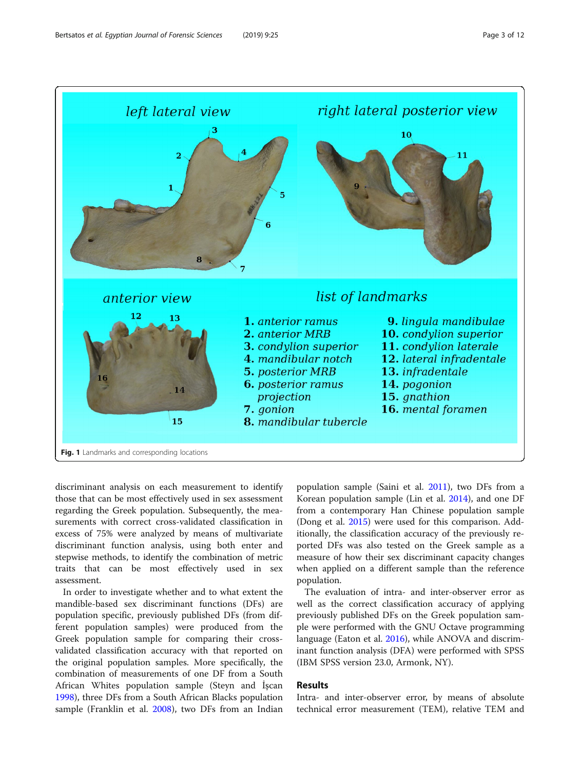<span id="page-2-0"></span>

discriminant analysis on each measurement to identify those that can be most effectively used in sex assessment regarding the Greek population. Subsequently, the measurements with correct cross-validated classification in excess of 75% were analyzed by means of multivariate discriminant function analysis, using both enter and stepwise methods, to identify the combination of metric traits that can be most effectively used in sex assessment.

In order to investigate whether and to what extent the mandible-based sex discriminant functions (DFs) are population specific, previously published DFs (from different population samples) were produced from the Greek population sample for comparing their crossvalidated classification accuracy with that reported on the original population samples. More specifically, the combination of measurements of one DF from a South African Whites population sample (Steyn and İşcan [1998](#page-11-0)), three DFs from a South African Blacks population sample (Franklin et al. [2008](#page-10-0)), two DFs from an Indian

population sample (Saini et al. [2011\)](#page-10-0), two DFs from a Korean population sample (Lin et al. [2014\)](#page-10-0), and one DF from a contemporary Han Chinese population sample (Dong et al. [2015\)](#page-10-0) were used for this comparison. Additionally, the classification accuracy of the previously reported DFs was also tested on the Greek sample as a measure of how their sex discriminant capacity changes when applied on a different sample than the reference population.

The evaluation of intra- and inter-observer error as well as the correct classification accuracy of applying previously published DFs on the Greek population sample were performed with the GNU Octave programming language (Eaton et al. [2016\)](#page-10-0), while ANOVA and discriminant function analysis (DFA) were performed with SPSS (IBM SPSS version 23.0, Armonk, NY).

## Results

Intra- and inter-observer error, by means of absolute technical error measurement (TEM), relative TEM and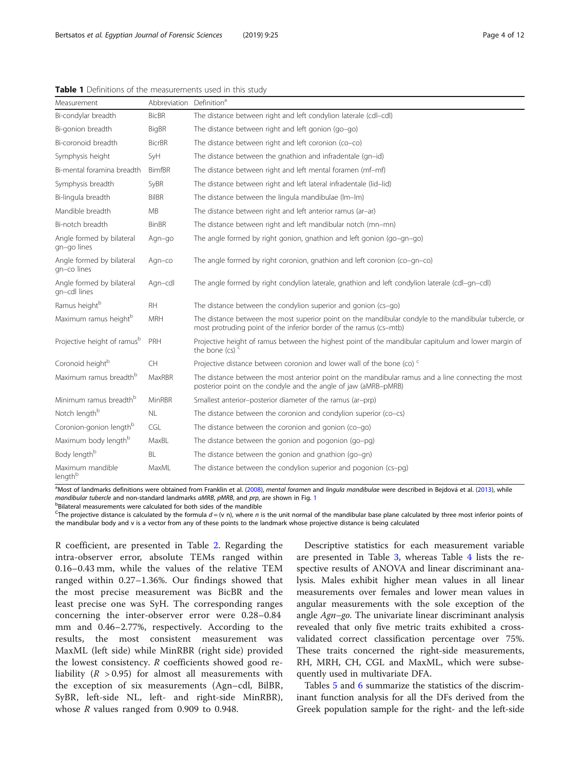| Measurement                               | Abbreviation Definition <sup>a</sup> |                                                                                                                                                                             |
|-------------------------------------------|--------------------------------------|-----------------------------------------------------------------------------------------------------------------------------------------------------------------------------|
| Bi-condylar breadth                       | <b>BicBR</b>                         | The distance between right and left condylion laterale (cdl-cdl)                                                                                                            |
| Bi-gonion breadth                         | BigBR                                | The distance between right and left gonion (go-go)                                                                                                                          |
| Bi-coronoid breadth                       | <b>BicrBR</b>                        | The distance between right and left coronion (co-co)                                                                                                                        |
| Symphysis height                          | SyH                                  | The distance between the gnathion and infradentale (gn-id)                                                                                                                  |
| Bi-mental foramina breadth                | <b>BimfBR</b>                        | The distance between right and left mental foramen (mf-mf)                                                                                                                  |
| Symphysis breadth                         | SyBR                                 | The distance between right and left lateral infradentale (lid-lid)                                                                                                          |
| Bi-lingula breadth                        | <b>BilBR</b>                         | The distance between the lingula mandibulae (Im-Im)                                                                                                                         |
| Mandible breadth                          | <b>MB</b>                            | The distance between right and left anterior ramus (ar-ar)                                                                                                                  |
| Bi-notch breadth                          | <b>BinBR</b>                         | The distance between right and left mandibular notch (mn-mn)                                                                                                                |
| Angle formed by bilateral<br>gn-go lines  | Agn-go                               | The angle formed by right gonion, gnathion and left gonion (go-gn-go)                                                                                                       |
| Angle formed by bilateral<br>gn-co lines  | Agn-co                               | The angle formed by right coronion, gnathion and left coronion (co-gn-co)                                                                                                   |
| Angle formed by bilateral<br>gn-cdl lines | Agn-cdl                              | The angle formed by right condylion laterale, gnathion and left condylion laterale (cdl-qn-cdl)                                                                             |
| Ramus height <sup>b</sup>                 | <b>RH</b>                            | The distance between the condylion superior and gonion (cs-go)                                                                                                              |
| Maximum ramus heightb                     | <b>MRH</b>                           | The distance between the most superior point on the mandibular condyle to the mandibular tubercle, or<br>most protruding point of the inferior border of the ramus (cs-mtb) |
| Projective height of ramus <sup>b</sup>   | PRH                                  | Projective height of ramus between the highest point of the mandibular capitulum and lower margin of<br>the bone $(cs)$ <sup>c</sup>                                        |
| Coronoid height <sup>b</sup>              | CH                                   | Projective distance between coronion and lower wall of the bone (co) <sup>c</sup>                                                                                           |
| Maximum ramus breadth <sup>b</sup>        | MaxRBR                               | The distance between the most anterior point on the mandibular ramus and a line connecting the most<br>posterior point on the condyle and the angle of jaw (aMRB-pMRB)      |
| Minimum ramus breadth <sup>b</sup>        | MinRBR                               | Smallest anterior-posterior diameter of the ramus (ar-prp)                                                                                                                  |
| Notch length <sup>b</sup>                 | <b>NL</b>                            | The distance between the coronion and condylion superior (co-cs)                                                                                                            |
| Coronion-gonion length <sup>b</sup>       | CGL                                  | The distance between the coronion and gonion (co-go)                                                                                                                        |
| Maximum body length <sup>b</sup>          | MaxBL                                | The distance between the gonion and pogonion (go-pg)                                                                                                                        |
| Body length <sup>b</sup>                  | <b>BL</b>                            | The distance between the gonion and gnathion (go-gn)                                                                                                                        |
| Maximum mandible<br>length <sup>b</sup>   | MaxML                                | The distance between the condylion superior and pogonion (cs-pg)                                                                                                            |

<span id="page-3-0"></span>Table 1 Definitions of the measurements used in this study

a<br>Most of landmarks definitions were obtained from Franklin et al. ([2008\)](#page-10-0), mental foramen and lingula mandibulae were described in Bejdová et al. ([2013](#page-10-0)), while mandibular tubercle and non-standard landmarks  $aMRB$ ,  $pMRB$ , and  $prp$ , are shown in Fig. [1](#page-2-0)

**bBilateral measurements were calculated for both sides of the mandible** 

<sup>C</sup>The projective distance is calculated by the formula  $d = (v \ n)$ , where n is the unit normal of the mandibular base plane calculated by three most inferior points of the mandibular body and v is a vector from any of these points to the landmark whose projective distance is being calculated

R coefficient, are presented in Table [2](#page-4-0). Regarding the intra-observer error, absolute TEMs ranged within 0.16–0.43 mm, while the values of the relative TEM ranged within 0.27–1.36%. Our findings showed that the most precise measurement was BicBR and the least precise one was SyH. The corresponding ranges concerning the inter-observer error were 0.28–0.84 mm and 0.46–2.77%, respectively. According to the results, the most consistent measurement was MaxML (left side) while MinRBR (right side) provided the lowest consistency. R coefficients showed good reliability ( $R > 0.95$ ) for almost all measurements with the exception of six measurements (Agn–cdl, BilBR, SyBR, left-side NL, left- and right-side MinRBR), whose *R* values ranged from 0.909 to 0.948.

Descriptive statistics for each measurement variable are presented in Table [3,](#page-5-0) whereas Table [4](#page-6-0) lists the respective results of ANOVA and linear discriminant analysis. Males exhibit higher mean values in all linear measurements over females and lower mean values in angular measurements with the sole exception of the angle Agn–go. The univariate linear discriminant analysis revealed that only five metric traits exhibited a crossvalidated correct classification percentage over 75%. These traits concerned the right-side measurements, RH, MRH, CH, CGL and MaxML, which were subsequently used in multivariate DFA.

Tables [5](#page-7-0) and [6](#page-8-0) summarize the statistics of the discriminant function analysis for all the DFs derived from the Greek population sample for the right- and the left-side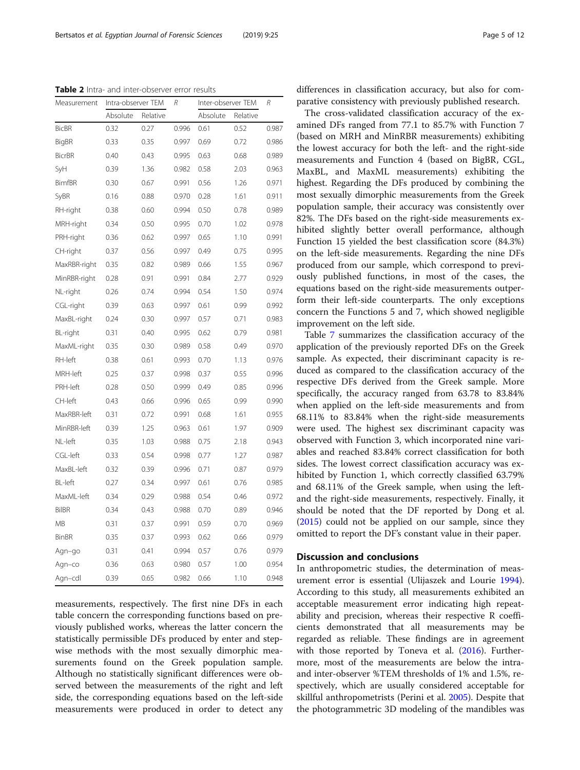<span id="page-4-0"></span>Table 2 Intra- and inter-observer error results

| Measurement    | Intra-observer TEM |          | R     | Inter-observer TEM |          | R     |
|----------------|--------------------|----------|-------|--------------------|----------|-------|
|                | Absolute           | Relative |       | Absolute           | Relative |       |
| <b>BicBR</b>   | 0.32               | 0.27     | 0.996 | 0.61               | 0.52     | 0.987 |
| <b>BigBR</b>   | 0.33               | 0.35     | 0.997 | 0.69               | 0.72     | 0.986 |
| <b>BicrBR</b>  | 0.40               | 0.43     | 0.995 | 0.63               | 0.68     | 0.989 |
| SyH            | 0.39               | 1.36     | 0.982 | 0.58               | 2.03     | 0.963 |
| <b>BimfBR</b>  | 0.30               | 0.67     | 0.991 | 0.56               | 1.26     | 0.971 |
| SyBR           | 0.16               | 0.88     | 0.970 | 0.28               | 1.61     | 0.911 |
| RH-right       | 0.38               | 0.60     | 0.994 | 0.50               | 0.78     | 0.989 |
| MRH-right      | 0.34               | 0.50     | 0.995 | 0.70               | 1.02     | 0.978 |
| PRH-right      | 0.36               | 0.62     | 0.997 | 0.65               | 1.10     | 0.991 |
| CH-right       | 0.37               | 0.56     | 0.997 | 0.49               | 0.75     | 0.995 |
| MaxRBR-right   | 0.35               | 0.82     | 0.989 | 0.66               | 1.55     | 0.967 |
| MinRBR-right   | 0.28               | 0.91     | 0.991 | 0.84               | 2.77     | 0.929 |
| NL-right       | 0.26               | 0.74     | 0.994 | 0.54               | 1.50     | 0.974 |
| CGL-right      | 0.39               | 0.63     | 0.997 | 0.61               | 0.99     | 0.992 |
| MaxBL-right    | 0.24               | 0.30     | 0.997 | 0.57               | 0.71     | 0.983 |
| BL-right       | 0.31               | 0.40     | 0.995 | 0.62               | 0.79     | 0.981 |
| MaxML-right    | 0.35               | 0.30     | 0.989 | 0.58               | 0.49     | 0.970 |
| RH-left        | 0.38               | 0.61     | 0.993 | 0.70               | 1.13     | 0.976 |
| MRH-left       | 0.25               | 0.37     | 0.998 | 0.37               | 0.55     | 0.996 |
| PRH-left       | 0.28               | 0.50     | 0.999 | 0.49               | 0.85     | 0.996 |
| CH-left        | 0.43               | 0.66     | 0.996 | 0.65               | 0.99     | 0.990 |
| MaxRBR-left    | 0.31               | 0.72     | 0.991 | 0.68               | 1.61     | 0.955 |
| MinRBR-left    | 0.39               | 1.25     | 0.963 | 0.61               | 1.97     | 0.909 |
| NL-left        | 0.35               | 1.03     | 0.988 | 0.75               | 2.18     | 0.943 |
| CGL-left       | 0.33               | 0.54     | 0.998 | 0.77               | 1.27     | 0.987 |
| MaxBL-left     | 0.32               | 0.39     | 0.996 | 0.71               | 0.87     | 0.979 |
| <b>BL-left</b> | 0.27               | 0.34     | 0.997 | 0.61               | 0.76     | 0.985 |
| MaxML-left     | 0.34               | 0.29     | 0.988 | 0.54               | 0.46     | 0.972 |
| <b>BilBR</b>   | 0.34               | 0.43     | 0.988 | 0.70               | 0.89     | 0.946 |
| МB             | 0.31               | 0.37     | 0.991 | 0.59               | 0.70     | 0.969 |
| <b>BinBR</b>   | 0.35               | 0.37     | 0.993 | 0.62               | 0.66     | 0.979 |
| Agn-go         | 0.31               | 0.41     | 0.994 | 0.57               | 0.76     | 0.979 |
| Agn–co         | 0.36               | 0.63     | 0.980 | 0.57               | 1.00     | 0.954 |
| Agn-cdl        | 0.39               | 0.65     | 0.982 | 0.66               | 1.10     | 0.948 |

measurements, respectively. The first nine DFs in each table concern the corresponding functions based on previously published works, whereas the latter concern the statistically permissible DFs produced by enter and stepwise methods with the most sexually dimorphic measurements found on the Greek population sample. Although no statistically significant differences were observed between the measurements of the right and left side, the corresponding equations based on the left-side measurements were produced in order to detect any

differences in classification accuracy, but also for comparative consistency with previously published research.

The cross-validated classification accuracy of the examined DFs ranged from 77.1 to 85.7% with Function 7 (based on MRH and MinRBR measurements) exhibiting the lowest accuracy for both the left- and the right-side measurements and Function 4 (based on BigBR, CGL, MaxBL, and MaxML measurements) exhibiting the highest. Regarding the DFs produced by combining the most sexually dimorphic measurements from the Greek population sample, their accuracy was consistently over 82%. The DFs based on the right-side measurements exhibited slightly better overall performance, although Function 15 yielded the best classification score (84.3%) on the left-side measurements. Regarding the nine DFs produced from our sample, which correspond to previously published functions, in most of the cases, the equations based on the right-side measurements outperform their left-side counterparts. The only exceptions concern the Functions 5 and 7, which showed negligible improvement on the left side.

Table [7](#page-9-0) summarizes the classification accuracy of the application of the previously reported DFs on the Greek sample. As expected, their discriminant capacity is reduced as compared to the classification accuracy of the respective DFs derived from the Greek sample. More specifically, the accuracy ranged from 63.78 to 83.84% when applied on the left-side measurements and from 68.11% to 83.84% when the right-side measurements were used. The highest sex discriminant capacity was observed with Function 3, which incorporated nine variables and reached 83.84% correct classification for both sides. The lowest correct classification accuracy was exhibited by Function 1, which correctly classified 63.79% and 68.11% of the Greek sample, when using the leftand the right-side measurements, respectively. Finally, it should be noted that the DF reported by Dong et al. ([2015\)](#page-10-0) could not be applied on our sample, since they omitted to report the DF's constant value in their paper.

#### Discussion and conclusions

In anthropometric studies, the determination of measurement error is essential (Ulijaszek and Lourie [1994](#page-11-0)). According to this study, all measurements exhibited an acceptable measurement error indicating high repeatability and precision, whereas their respective R coefficients demonstrated that all measurements may be regarded as reliable. These findings are in agreement with those reported by Toneva et al.  $(2016)$  $(2016)$  $(2016)$ . Furthermore, most of the measurements are below the intraand inter-observer %TEM thresholds of 1% and 1.5%, respectively, which are usually considered acceptable for skillful anthropometrists (Perini et al. [2005\)](#page-10-0). Despite that the photogrammetric 3D modeling of the mandibles was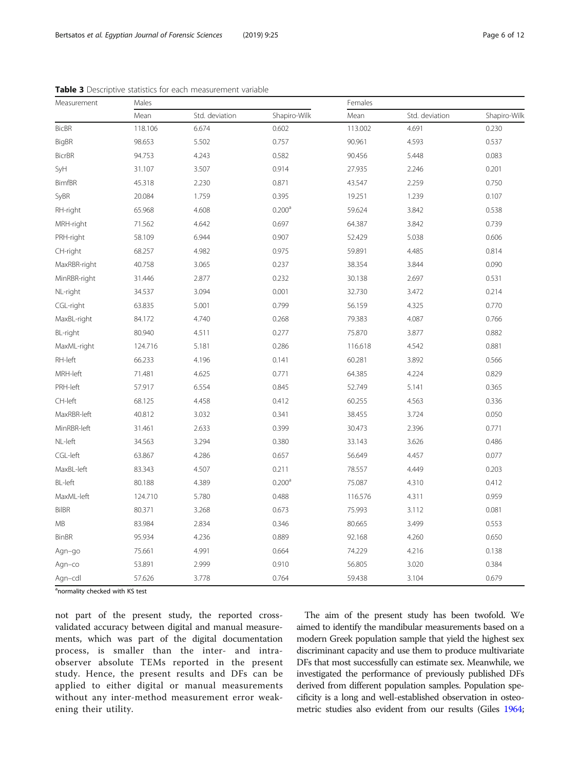| Measurement     | Males   |                |                    | Females |                |              |  |
|-----------------|---------|----------------|--------------------|---------|----------------|--------------|--|
|                 | Mean    | Std. deviation | Shapiro-Wilk       | Mean    | Std. deviation | Shapiro-Wilk |  |
| <b>BicBR</b>    | 118.106 | 6.674          | 0.602              | 113.002 | 4.691          | 0.230        |  |
| BigBR           | 98.653  | 5.502          | 0.757              | 90.961  | 4.593          | 0.537        |  |
| <b>BicrBR</b>   | 94.753  | 4.243          | 0.582              | 90.456  | 5.448          | 0.083        |  |
| SyH             | 31.107  | 3.507          | 0.914              | 27.935  | 2.246          | 0.201        |  |
| <b>BimfBR</b>   | 45.318  | 2.230          | 0.871              | 43.547  | 2.259          | 0.750        |  |
| SyBR            | 20.084  | 1.759          | 0.395              | 19.251  | 1.239          | 0.107        |  |
| RH-right        | 65.968  | 4.608          | 0.200 <sup>a</sup> | 59.624  | 3.842          | 0.538        |  |
| MRH-right       | 71.562  | 4.642          | 0.697              | 64.387  | 3.842          | 0.739        |  |
| PRH-right       | 58.109  | 6.944          | 0.907              | 52.429  | 5.038          | 0.606        |  |
| CH-right        | 68.257  | 4.982          | 0.975              | 59.891  | 4.485          | 0.814        |  |
| MaxRBR-right    | 40.758  | 3.065          | 0.237              | 38.354  | 3.844          | 0.090        |  |
| MinRBR-right    | 31.446  | 2.877          | 0.232              | 30.138  | 2.697          | 0.531        |  |
| NL-right        | 34.537  | 3.094          | 0.001              | 32.730  | 3.472          | 0.214        |  |
| CGL-right       | 63.835  | 5.001          | 0.799              | 56.159  | 4.325          | 0.770        |  |
| MaxBL-right     | 84.172  | 4.740          | 0.268              | 79.383  | 4.087          | 0.766        |  |
| <b>BL-right</b> | 80.940  | 4.511          | 0.277              | 75.870  | 3.877          | 0.882        |  |
| MaxML-right     | 124.716 | 5.181          | 0.286              | 116.618 | 4.542          | 0.881        |  |
| RH-left         | 66.233  | 4.196          | 0.141              | 60.281  | 3.892          | 0.566        |  |
| MRH-left        | 71.481  | 4.625          | 0.771              | 64.385  | 4.224          | 0.829        |  |
| PRH-left        | 57.917  | 6.554          | 0.845              | 52.749  | 5.141          | 0.365        |  |
| CH-left         | 68.125  | 4.458          | 0.412              | 60.255  | 4.563          | 0.336        |  |
| MaxRBR-left     | 40.812  | 3.032          | 0.341              | 38.455  | 3.724          | 0.050        |  |
| MinRBR-left     | 31.461  | 2.633          | 0.399              | 30.473  | 2.396          | 0.771        |  |
| NL-left         | 34.563  | 3.294          | 0.380              | 33.143  | 3.626          | 0.486        |  |
| CGL-left        | 63.867  | 4.286          | 0.657              | 56.649  | 4.457          | 0.077        |  |
| MaxBL-left      | 83.343  | 4.507          | 0.211              | 78.557  | 4.449          | 0.203        |  |
| <b>BL-left</b>  | 80.188  | 4.389          | 0.200 <sup>a</sup> | 75.087  | 4.310          | 0.412        |  |
| MaxML-left      | 124.710 | 5.780          | 0.488              | 116.576 | 4.311          | 0.959        |  |
| <b>BilBR</b>    | 80.371  | 3.268          | 0.673              | 75.993  | 3.112          | 0.081        |  |
| MB              | 83.984  | 2.834          | 0.346              | 80.665  | 3.499          | 0.553        |  |
| <b>BinBR</b>    | 95.934  | 4.236          | 0.889              | 92.168  | 4.260          | 0.650        |  |
| Agn-go          | 75.661  | 4.991          | 0.664              | 74.229  | 4.216          | 0.138        |  |
| Agn-co          | 53.891  | 2.999          | 0.910              | 56.805  | 3.020          | 0.384        |  |
| Agn-cdl         | 57.626  | 3.778          | 0.764              | 59.438  | 3.104          | 0.679        |  |

<span id="page-5-0"></span>Table 3 Descriptive statistics for each measurement variable

<sup>a</sup>normality checked with KS test

not part of the present study, the reported crossvalidated accuracy between digital and manual measurements, which was part of the digital documentation process, is smaller than the inter- and intraobserver absolute TEMs reported in the present study. Hence, the present results and DFs can be applied to either digital or manual measurements without any inter-method measurement error weakening their utility.

The aim of the present study has been twofold. We aimed to identify the mandibular measurements based on a modern Greek population sample that yield the highest sex discriminant capacity and use them to produce multivariate DFs that most successfully can estimate sex. Meanwhile, we investigated the performance of previously published DFs derived from different population samples. Population specificity is a long and well-established observation in osteometric studies also evident from our results (Giles [1964](#page-10-0);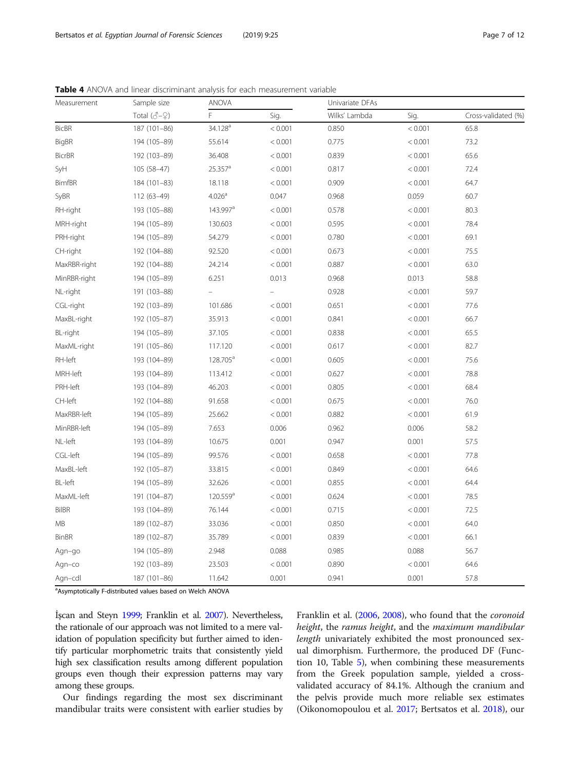| Measurement    | Sample size                         | ANOVA                 |         |               | Univariate DFAs |                     |  |
|----------------|-------------------------------------|-----------------------|---------|---------------|-----------------|---------------------|--|
|                | Total $(\mathcal{J} - \mathcal{Q})$ | F                     | Sig.    | Wilks' Lambda | Sig.            | Cross-validated (%) |  |
| <b>BicBR</b>   | 187 (101-86)                        | 34.128 <sup>a</sup>   | < 0.001 | 0.850         | < 0.001         | 65.8                |  |
| <b>BigBR</b>   | 194 (105-89)                        | 55.614                | < 0.001 | 0.775         | < 0.001         | 73.2                |  |
| <b>BicrBR</b>  | 192 (103-89)                        | 36.408                | < 0.001 | 0.839         | < 0.001         | 65.6                |  |
| SyH            | 105 (58-47)                         | $25.357$ <sup>a</sup> | < 0.001 | 0.817         | < 0.001         | 72.4                |  |
| <b>BimfBR</b>  | 184 (101-83)                        | 18.118                | < 0.001 | 0.909         | < 0.001         | 64.7                |  |
| SyBR           | 112 (63-49)                         | 4.026 <sup>a</sup>    | 0.047   | 0.968         | 0.059           | 60.7                |  |
| RH-right       | 193 (105-88)                        | 143.997 <sup>a</sup>  | < 0.001 | 0.578         | < 0.001         | 80.3                |  |
| MRH-right      | 194 (105-89)                        | 130.603               | < 0.001 | 0.595         | < 0.001         | 78.4                |  |
| PRH-right      | 194 (105-89)                        | 54.279                | < 0.001 | 0.780         | < 0.001         | 69.1                |  |
| CH-right       | 192 (104-88)                        | 92.520                | < 0.001 | 0.673         | < 0.001         | 75.5                |  |
| MaxRBR-right   | 192 (104-88)                        | 24.214                | < 0.001 | 0.887         | < 0.001         | 63.0                |  |
| MinRBR-right   | 194 (105-89)                        | 6.251                 | 0.013   | 0.968         | 0.013           | 58.8                |  |
| NL-right       | 191 (103-88)                        |                       |         | 0.928         | < 0.001         | 59.7                |  |
| CGL-right      | 192 (103-89)                        | 101.686               | < 0.001 | 0.651         | < 0.001         | 77.6                |  |
| MaxBL-right    | 192 (105-87)                        | 35.913                | < 0.001 | 0.841         | < 0.001         | 66.7                |  |
| BL-right       | 194 (105-89)                        | 37.105                | < 0.001 | 0.838         | < 0.001         | 65.5                |  |
| MaxML-right    | 191 (105-86)                        | 117.120               | < 0.001 | 0.617         | < 0.001         | 82.7                |  |
| RH-left        | 193 (104-89)                        | 128.705 <sup>a</sup>  | < 0.001 | 0.605         | < 0.001         | 75.6                |  |
| MRH-left       | 193 (104-89)                        | 113.412               | < 0.001 | 0.627         | < 0.001         | 78.8                |  |
| PRH-left       | 193 (104-89)                        | 46.203                | < 0.001 | 0.805         | < 0.001         | 68.4                |  |
| CH-left        | 192 (104-88)                        | 91.658                | < 0.001 | 0.675         | < 0.001         | 76.0                |  |
| MaxRBR-left    | 194 (105-89)                        | 25.662                | < 0.001 | 0.882         | < 0.001         | 61.9                |  |
| MinRBR-left    | 194 (105-89)                        | 7.653                 | 0.006   | 0.962         | 0.006           | 58.2                |  |
| NL-left        | 193 (104-89)                        | 10.675                | 0.001   | 0.947         | 0.001           | 57.5                |  |
| CGL-left       | 194 (105-89)                        | 99.576                | < 0.001 | 0.658         | < 0.001         | 77.8                |  |
| MaxBL-left     | 192 (105-87)                        | 33.815                | < 0.001 | 0.849         | < 0.001         | 64.6                |  |
| <b>BL-left</b> | 194 (105-89)                        | 32.626                | < 0.001 | 0.855         | < 0.001         | 64.4                |  |
| MaxML-left     | 191 (104-87)                        | 120.559 <sup>a</sup>  | < 0.001 | 0.624         | < 0.001         | 78.5                |  |
| <b>BilBR</b>   | 193 (104-89)                        | 76.144                | < 0.001 | 0.715         | < 0.001         | 72.5                |  |
| MB             | 189 (102-87)                        | 33.036                | < 0.001 | 0.850         | < 0.001         | 64.0                |  |
| <b>BinBR</b>   | 189 (102-87)                        | 35.789                | < 0.001 | 0.839         | < 0.001         | 66.1                |  |
| Agn-go         | 194 (105-89)                        | 2.948                 | 0.088   | 0.985         | 0.088           | 56.7                |  |
| Agn-co         | 192 (103-89)                        | 23.503                | < 0.001 | 0.890         | < 0.001         | 64.6                |  |
| Agn-cdl        | 187 (101-86)                        | 11.642                | 0.001   | 0.941         | 0.001           | 57.8                |  |

<span id="page-6-0"></span>Table 4 ANOVA and linear discriminant analysis for each measurement variable

<sup>a</sup>Asymptotically F-distributed values based on Welch ANOVA

İşcan and Steyn [1999](#page-10-0); Franklin et al. [2007](#page-10-0)). Nevertheless, the rationale of our approach was not limited to a mere validation of population specificity but further aimed to identify particular morphometric traits that consistently yield high sex classification results among different population groups even though their expression patterns may vary among these groups.

Our findings regarding the most sex discriminant mandibular traits were consistent with earlier studies by Franklin et al. ([2006,](#page-10-0) [2008\)](#page-10-0), who found that the coronoid height, the ramus height, and the maximum mandibular length univariately exhibited the most pronounced sexual dimorphism. Furthermore, the produced DF (Function 10, Table [5](#page-7-0)), when combining these measurements from the Greek population sample, yielded a crossvalidated accuracy of 84.1%. Although the cranium and the pelvis provide much more reliable sex estimates (Oikonomopoulou et al. [2017;](#page-10-0) Bertsatos et al. [2018\)](#page-10-0), our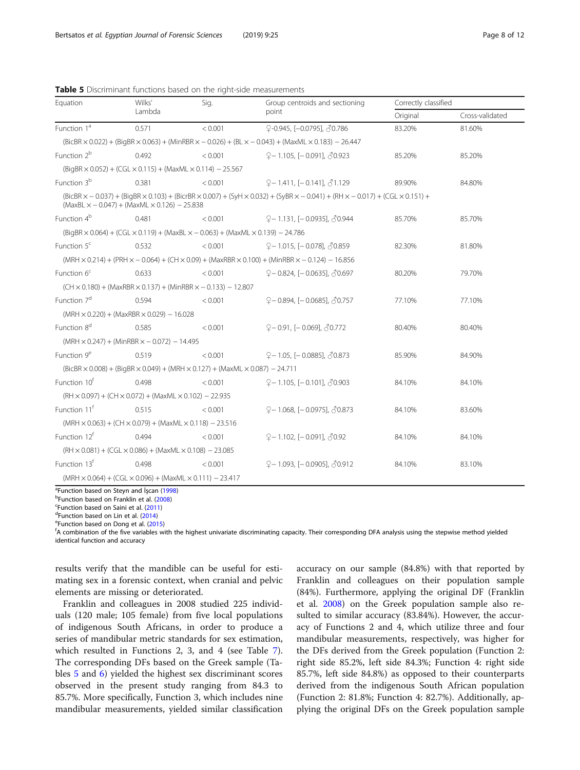| Equation                                                                                            | Wilks'                                                                                                                      | Sig.    | Group centroids and sectioning                                                                                                                                                                                                                                                                                                                                               | Correctly classified |                 |  |  |  |  |  |
|-----------------------------------------------------------------------------------------------------|-----------------------------------------------------------------------------------------------------------------------------|---------|------------------------------------------------------------------------------------------------------------------------------------------------------------------------------------------------------------------------------------------------------------------------------------------------------------------------------------------------------------------------------|----------------------|-----------------|--|--|--|--|--|
|                                                                                                     | Lambda                                                                                                                      |         | point                                                                                                                                                                                                                                                                                                                                                                        | Original             | Cross-validated |  |  |  |  |  |
| Function 1 <sup>ª</sup>                                                                             | 0.571                                                                                                                       | < 0.001 | ♀-0.945, [-0.0795], 30.786                                                                                                                                                                                                                                                                                                                                                   | 83.20%               | 81.60%          |  |  |  |  |  |
|                                                                                                     | $(BicBR \times 0.022) + (BigBR \times 0.063) + (MinRBR \times -0.026) + (BL \times -0.043) + (MaxML \times 0.183) - 26.447$ |         |                                                                                                                                                                                                                                                                                                                                                                              |                      |                 |  |  |  |  |  |
| Function 2 <sup>b</sup>                                                                             | 0.492                                                                                                                       | < 0.001 | $9 - 1.105$ , [ $- 0.091$ ], $\sqrt{3}0.923$                                                                                                                                                                                                                                                                                                                                 | 85.20%               | 85.20%          |  |  |  |  |  |
| $(BigBR \times 0.052) + (CGL \times 0.115) + (MaxML \times 0.114) - 25.567$                         |                                                                                                                             |         |                                                                                                                                                                                                                                                                                                                                                                              |                      |                 |  |  |  |  |  |
| Function 3 <sup>b</sup>                                                                             | 0.381                                                                                                                       | < 0.001 | $Q - 1.411$ , $[-0.141]$ , $\sqrt{3}1.129$                                                                                                                                                                                                                                                                                                                                   | 89.90%               | 84.80%          |  |  |  |  |  |
| $(MaxBL \times -0.047) + (MaxML \times 0.126) - 25.838$                                             |                                                                                                                             |         | $(BicBR \times -0.037) + (BigBR \times 0.103) + (BicrBR \times 0.007) + (SylH \times 0.032) + (SyBR \times -0.041) + (RH \times -0.017) + (CGL \times 0.151) + (CHL \times 0.017) + (CHL \times 0.017) + (CHL \times 0.017) + (CHL \times 0.017) + (CHL \times 0.017) + (CHL \times 0.017) + (CHL \times 0.017) + (CHL \times 0.017) + (CHL \times 0.017) + (CHL \times 0.0$ |                      |                 |  |  |  |  |  |
| Function 4 <sup>b</sup>                                                                             | 0.481                                                                                                                       | < 0.001 | ♀–1.131, [–0.0935], ∂0.944                                                                                                                                                                                                                                                                                                                                                   | 85.70%               | 85.70%          |  |  |  |  |  |
| $(BiqBR \times 0.064) + (CGL \times 0.119) + (MaxBL \times -0.063) + (MaxML \times 0.139) - 24.786$ |                                                                                                                             |         |                                                                                                                                                                                                                                                                                                                                                                              |                      |                 |  |  |  |  |  |
| Function $5c$                                                                                       | 0.532                                                                                                                       | < 0.001 | $9 - 1.015$ , [-0.078], $\sqrt[3]{0.859}$                                                                                                                                                                                                                                                                                                                                    | 82.30%               | 81.80%          |  |  |  |  |  |
|                                                                                                     |                                                                                                                             |         | $(MRH \times 0.214) + (PRH \times -0.064) + (CH \times 0.09) + (MaxRBR \times 0.100) + (MinRBR \times -0.124) - 16.856$                                                                                                                                                                                                                                                      |                      |                 |  |  |  |  |  |
| Function 6 <sup>c</sup>                                                                             | 0.633                                                                                                                       | < 0.001 | $9 - 0.824$ , [-0.0635], $30.697$                                                                                                                                                                                                                                                                                                                                            | 80.20%               | 79.70%          |  |  |  |  |  |
| $(CH \times 0.180) + (MaxRBR \times 0.137) + (MinRBR \times -0.133) - 12.807$                       |                                                                                                                             |         |                                                                                                                                                                                                                                                                                                                                                                              |                      |                 |  |  |  |  |  |
| Function 7 <sup>d</sup>                                                                             | 0.594                                                                                                                       | < 0.001 | $9 - 0.894$ , [-0.0685], $\sqrt[3]{0.757}$                                                                                                                                                                                                                                                                                                                                   | 77.10%               | 77.10%          |  |  |  |  |  |
| $(MRH \times 0.220) + (MaxRBR \times 0.029) - 16.028$                                               |                                                                                                                             |         |                                                                                                                                                                                                                                                                                                                                                                              |                      |                 |  |  |  |  |  |
| Function 8 <sup>d</sup>                                                                             | 0.585                                                                                                                       | < 0.001 | $9 - 0.91$ , [-0.069], $30.772$                                                                                                                                                                                                                                                                                                                                              | 80.40%               | 80.40%          |  |  |  |  |  |
| $(MRH \times 0.247) + (MinRBR \times -0.072) - 14.495$                                              |                                                                                                                             |         |                                                                                                                                                                                                                                                                                                                                                                              |                      |                 |  |  |  |  |  |
| Function 9 <sup>e</sup>                                                                             | 0.519                                                                                                                       | < 0.001 | $9 - 1.05$ , [-0.0885], $\sqrt[3]{0.873}$                                                                                                                                                                                                                                                                                                                                    | 85.90%               | 84.90%          |  |  |  |  |  |
| $(BicBR \times 0.008) + (BigBR \times 0.049) + (MRH \times 0.127) + (MaxML \times 0.087) - 24.711$  |                                                                                                                             |         |                                                                                                                                                                                                                                                                                                                                                                              |                      |                 |  |  |  |  |  |
| Function 10 <sup>f</sup>                                                                            | 0.498                                                                                                                       | < 0.001 | $Q - 1.105$ , [-0.101], $\sqrt{2}0.903$                                                                                                                                                                                                                                                                                                                                      | 84.10%               | 84.10%          |  |  |  |  |  |
| $(RH \times 0.097) + (CH \times 0.072) + (MaxML \times 0.102) - 22.935$                             |                                                                                                                             |         |                                                                                                                                                                                                                                                                                                                                                                              |                      |                 |  |  |  |  |  |
| Function 11 <sup>f</sup>                                                                            | 0.515                                                                                                                       | < 0.001 | $9 - 1.068$ , [ $- 0.0975$ ], $\sqrt[3]{0.873}$                                                                                                                                                                                                                                                                                                                              | 84.10%               | 83.60%          |  |  |  |  |  |
|                                                                                                     | $(MRH \times 0.063) + (CH \times 0.079) + (MaxML \times 0.118) - 23.516$                                                    |         |                                                                                                                                                                                                                                                                                                                                                                              |                      |                 |  |  |  |  |  |
| Function 12 <sup>f</sup>                                                                            | 0.494                                                                                                                       | < 0.001 | $9 - 1.102$ , [-0.091], $\sqrt[3]{0.92}$                                                                                                                                                                                                                                                                                                                                     | 84.10%               | 84.10%          |  |  |  |  |  |
| $(RH \times 0.081) + (CGL \times 0.086) + (MaxML \times 0.108) - 23.085$                            |                                                                                                                             |         |                                                                                                                                                                                                                                                                                                                                                                              |                      |                 |  |  |  |  |  |
| Function 13 <sup>t</sup>                                                                            | 0.498                                                                                                                       | < 0.001 | $9 - 1.093$ , [-0.0905], $\sqrt[3]{0.912}$                                                                                                                                                                                                                                                                                                                                   | 84.10%               | 83.10%          |  |  |  |  |  |
|                                                                                                     | $(MRH \times 0.064) + (CGL \times 0.096) + (MaxML \times 0.111) - 23.417$                                                   |         |                                                                                                                                                                                                                                                                                                                                                                              |                      |                 |  |  |  |  |  |

<span id="page-7-0"></span>Table 5 Discriminant functions based on the right-side measurements

<sup>a</sup> Function based on Steyn and İşcan ([1998](#page-11-0))<br><sup>b</sup> Function based on Franklin et al. (2008)

<sup>b</sup>Function based on Franklin et al. [\(2008\)](#page-10-0)

<sup>c</sup>Function based on Saini et al. ([2011\)](#page-10-0)

<sup>d</sup>Function based on Lin et al. [\(2014](#page-10-0))

<sup>e</sup> Function based on Dong et al. [\(2015](#page-10-0))

<sup>f</sup>A combination of the five variables with the highest univariate discriminating capacity. Their corresponding DFA analysis using the stepwise method yielded identical function and accuracy

results verify that the mandible can be useful for estimating sex in a forensic context, when cranial and pelvic elements are missing or deteriorated.

Franklin and colleagues in 2008 studied 225 individuals (120 male; 105 female) from five local populations of indigenous South Africans, in order to produce a series of mandibular metric standards for sex estimation, which resulted in Functions 2, 3, and 4 (see Table [7](#page-9-0)). The corresponding DFs based on the Greek sample (Tables 5 and [6](#page-8-0)) yielded the highest sex discriminant scores observed in the present study ranging from 84.3 to 85.7%. More specifically, Function 3, which includes nine mandibular measurements, yielded similar classification

accuracy on our sample (84.8%) with that reported by Franklin and colleagues on their population sample (84%). Furthermore, applying the original DF (Franklin et al. [2008](#page-10-0)) on the Greek population sample also resulted to similar accuracy (83.84%). However, the accuracy of Functions 2 and 4, which utilize three and four mandibular measurements, respectively, was higher for the DFs derived from the Greek population (Function 2: right side 85.2%, left side 84.3%; Function 4: right side 85.7%, left side 84.8%) as opposed to their counterparts derived from the indigenous South African population (Function 2: 81.8%; Function 4: 82.7%). Additionally, applying the original DFs on the Greek population sample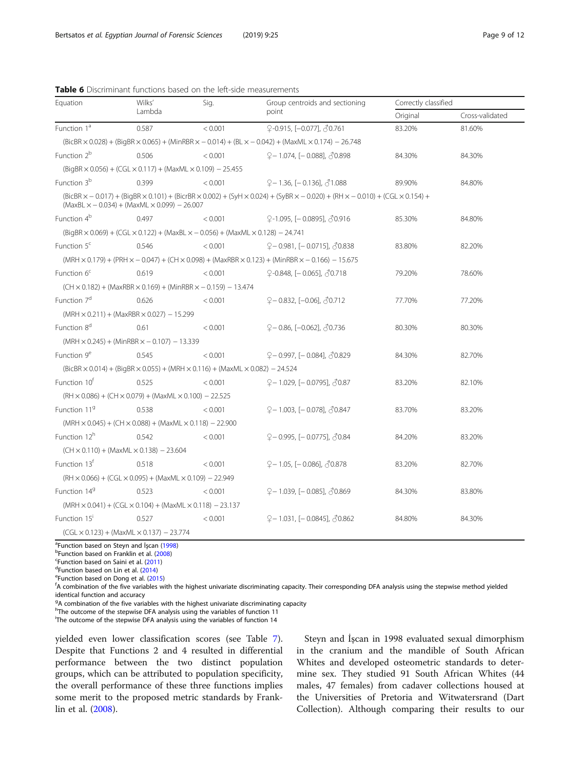| Equation                                                                                                                    | Wilks'                                                                   | Sig.    | Group centroids and sectioning                                                                                                                                                    | Correctly classified |                 |  |  |  |  |
|-----------------------------------------------------------------------------------------------------------------------------|--------------------------------------------------------------------------|---------|-----------------------------------------------------------------------------------------------------------------------------------------------------------------------------------|----------------------|-----------------|--|--|--|--|
|                                                                                                                             | Lambda                                                                   |         | point                                                                                                                                                                             | Original             | Cross-validated |  |  |  |  |
| Function 1 <sup>ª</sup>                                                                                                     | 0.587                                                                    | < 0.001 | ♀-0.915, [-0.077], 30.761                                                                                                                                                         | 83.20%               | 81.60%          |  |  |  |  |
| $(BicBR \times 0.028) + (BigBR \times 0.065) + (MinRBR \times -0.014) + (BL \times -0.042) + (MaxML \times 0.174) - 26.748$ |                                                                          |         |                                                                                                                                                                                   |                      |                 |  |  |  |  |
| Function 2 <sup>b</sup>                                                                                                     | 0.506                                                                    | < 0.001 | $9 - 1.074$ , [-0.088], $\sqrt[3]{0.898}$                                                                                                                                         | 84.30%               | 84.30%          |  |  |  |  |
| $(BiqBR \times 0.056) + (CGL \times 0.117) + (MaxML \times 0.109) - 25.455$                                                 |                                                                          |         |                                                                                                                                                                                   |                      |                 |  |  |  |  |
| Function 3 <sup>b</sup>                                                                                                     | 0.399                                                                    | < 0.001 | $9 - 1.36$ , [ $- 0.136$ ], $31.088$                                                                                                                                              | 89.90%               | 84.80%          |  |  |  |  |
| $(MaxBL \times -0.034) + (MaxML \times 0.099) - 26.007$                                                                     |                                                                          |         | $(BicBR \times -0.017) + (BigBR \times 0.101) + (BicrBR \times 0.002) + (SyH \times 0.024) + (SyBR \times -0.020) + (RH \times -0.010) + (CGL \times 0.154) + (CgL \times 0.016)$ |                      |                 |  |  |  |  |
| Function 4 <sup>b</sup>                                                                                                     | 0.497                                                                    | < 0.001 | $9-1.095$ , [-0.0895], $\sqrt[3]{0.916}$                                                                                                                                          | 85.30%               | 84.80%          |  |  |  |  |
| $(BigBR \times 0.069) + (CGL \times 0.122) + (MaxBL \times -0.056) + (MaxML \times 0.128) - 24.741$                         |                                                                          |         |                                                                                                                                                                                   |                      |                 |  |  |  |  |
| Function $5c$                                                                                                               | 0.546                                                                    | < 0.001 | $9 - 0.981$ , [-0.0715], $\sqrt[3]{0.838}$                                                                                                                                        | 83.80%               | 82.20%          |  |  |  |  |
|                                                                                                                             |                                                                          |         | $(MRH \times 0.179) + (PRH \times -0.047) + (CH \times 0.098) + (MaxRBR \times 0.123) + (MinRBR \times -0.166) - 15.675$                                                          |                      |                 |  |  |  |  |
| Function 6 <sup>c</sup>                                                                                                     | 0.619                                                                    | < 0.001 | $\sqrt{2}$ -0.848, [-0.065], $\sqrt{3}$ 0.718                                                                                                                                     | 79.20%               | 78.60%          |  |  |  |  |
| $(CH \times 0.182) + (MaxRBR \times 0.169) + (MinRBR \times -0.159) - 13.474$                                               |                                                                          |         |                                                                                                                                                                                   |                      |                 |  |  |  |  |
| Function 7 <sup>d</sup>                                                                                                     | 0.626                                                                    | < 0.001 | $9 - 0.832$ , [-0.06], $\sqrt[3]{0.712}$                                                                                                                                          | 77.70%               | 77.20%          |  |  |  |  |
| $(MRH \times 0.211) + (MaxRBR \times 0.027) - 15.299$                                                                       |                                                                          |         |                                                                                                                                                                                   |                      |                 |  |  |  |  |
| Function 8 <sup>d</sup>                                                                                                     | 0.61                                                                     | < 0.001 | $9 - 0.86$ , [-0.062], $30.736$                                                                                                                                                   | 80.30%               | 80.30%          |  |  |  |  |
| $(MRH \times 0.245) + (MinRBR \times -0.107) - 13.339$                                                                      |                                                                          |         |                                                                                                                                                                                   |                      |                 |  |  |  |  |
| Function 9 <sup>e</sup>                                                                                                     | 0.545                                                                    | < 0.001 | $9 - 0.997$ , [-0.084], $\sqrt[3]{0.829}$                                                                                                                                         | 84.30%               | 82.70%          |  |  |  |  |
| $(BicBR \times 0.014) + (BigBR \times 0.055) + (MRH \times 0.116) + (MaxML \times 0.082) - 24.524$                          |                                                                          |         |                                                                                                                                                                                   |                      |                 |  |  |  |  |
| Function 10 <sup>r</sup>                                                                                                    | 0.525                                                                    | < 0.001 | $9 - 1.029$ , [-0.0795], $\sqrt[3]{0.87}$                                                                                                                                         | 83.20%               | 82.10%          |  |  |  |  |
| $(RH \times 0.086) + (CH \times 0.079) + (MaxML \times 0.100) - 22.525$                                                     |                                                                          |         |                                                                                                                                                                                   |                      |                 |  |  |  |  |
| Function 119                                                                                                                | 0.538                                                                    | < 0.001 | ♀–1.003, [–0.078], 30.847                                                                                                                                                         | 83.70%               | 83.20%          |  |  |  |  |
| $(MRH \times 0.045) + (CH \times 0.088) + (MaxML \times 0.118) - 22.900$                                                    |                                                                          |         |                                                                                                                                                                                   |                      |                 |  |  |  |  |
| Function 12 <sup>h</sup>                                                                                                    | 0.542                                                                    | < 0.001 | ♀– 0.995, [– 0.0775], ♂0.84                                                                                                                                                       | 84.20%               | 83.20%          |  |  |  |  |
| $(CH \times 0.110) + (MaxML \times 0.138) - 23.604$                                                                         |                                                                          |         |                                                                                                                                                                                   |                      |                 |  |  |  |  |
| Function 13 <sup>f</sup>                                                                                                    | 0.518                                                                    | < 0.001 | $9 - 1.05$ , [ $- 0.086$ ], $\sqrt{3}0.878$                                                                                                                                       | 83.20%               | 82.70%          |  |  |  |  |
|                                                                                                                             | $(RH \times 0.066) + (CGL \times 0.095) + (MaxML \times 0.109) - 22.949$ |         |                                                                                                                                                                                   |                      |                 |  |  |  |  |
| Function 14 <sup>9</sup>                                                                                                    | 0.523                                                                    | < 0.001 | $9 - 1.039$ , [-0.085], $\sqrt[3]{0.869}$                                                                                                                                         | 84.30%               | 83.80%          |  |  |  |  |
| $(MRH \times 0.041) + (CGL \times 0.104) + (MaxML \times 0.118) - 23.137$                                                   |                                                                          |         |                                                                                                                                                                                   |                      |                 |  |  |  |  |
| Function 15 <sup>i</sup>                                                                                                    | 0.527                                                                    | < 0.001 | $Q - 1.031$ , [-0.0845], $\sqrt{0.862}$                                                                                                                                           | 84.80%               | 84.30%          |  |  |  |  |
| $(CGL \times 0.123) + (MaxML \times 0.137) - 23.774$                                                                        |                                                                          |         |                                                                                                                                                                                   |                      |                 |  |  |  |  |

<span id="page-8-0"></span>Table 6 Discriminant functions based on the left-side measurements

a<sub>Function</sub> based on Steyn and İşcan ([1998](#page-11-0))<br>PEunction based on Franklin et al. (2008)

<sup>b</sup>Function based on Franklin et al. [\(2008\)](#page-10-0)

 $c$ Function based on Saini et al. ([2011\)](#page-10-0)

 $d$ Function based on Lin et al. [\(2014](#page-10-0))

<sup>e</sup>Function based on Dong et al. [\(2015](#page-10-0))

A combination of the five variables with the highest univariate discriminating capacity. Their corresponding DFA analysis using the stepwise method yielded identical function and accuracy

<sup>g</sup>A combination of the five variables with the highest univariate discriminating capacity

<sup>h</sup>The outcome of the stepwise DFA analysis using the variables of function 11

i The outcome of the stepwise DFA analysis using the variables of function 14

yielded even lower classification scores (see Table [7](#page-9-0)). Despite that Functions 2 and 4 resulted in differential performance between the two distinct population groups, which can be attributed to population specificity, the overall performance of these three functions implies some merit to the proposed metric standards by Franklin et al. ([2008\)](#page-10-0).

Steyn and İşcan in 1998 evaluated sexual dimorphism in the cranium and the mandible of South African Whites and developed osteometric standards to determine sex. They studied 91 South African Whites (44 males, 47 females) from cadaver collections housed at the Universities of Pretoria and Witwatersrand (Dart Collection). Although comparing their results to our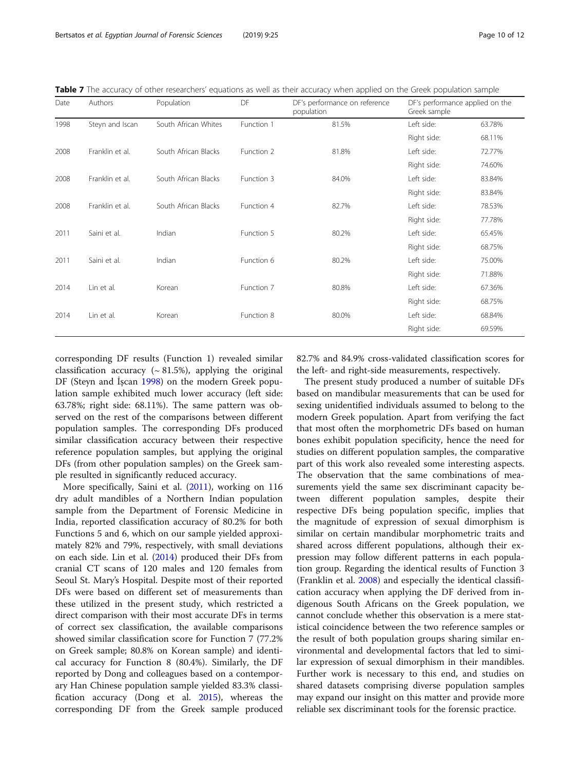<span id="page-9-0"></span>

|  |  |  | Table 7 The accuracy of other researchers' equations as well as their accuracy when applied on the Greek population sample |
|--|--|--|----------------------------------------------------------------------------------------------------------------------------|
|  |  |  |                                                                                                                            |

| Date | Authors         | Population           | DF         | DF's performance on reference<br>population | DF's performance applied on the<br>Greek sample |        |
|------|-----------------|----------------------|------------|---------------------------------------------|-------------------------------------------------|--------|
| 1998 | Steyn and Iscan | South African Whites | Function 1 | 81.5%                                       | Left side:                                      | 63.78% |
|      |                 |                      |            |                                             | Right side:                                     | 68.11% |
| 2008 | Franklin et al. | South African Blacks | Function 2 | 81.8%                                       | Left side:                                      | 72.77% |
|      |                 |                      |            |                                             | Right side:                                     | 74.60% |
| 2008 | Franklin et al. | South African Blacks | Function 3 | 84.0%                                       | Left side:                                      | 83.84% |
|      |                 |                      |            |                                             | Right side:                                     | 83.84% |
| 2008 | Franklin et al. | South African Blacks | Function 4 | 82.7%                                       | Left side:                                      | 78.53% |
|      |                 |                      |            |                                             | Right side:                                     | 77.78% |
| 2011 | Saini et al.    | Indian               | Function 5 | 80.2%                                       | Left side:                                      | 65.45% |
|      |                 |                      |            |                                             | Right side:                                     | 68.75% |
| 2011 | Saini et al.    | Indian               | Function 6 | 80.2%                                       | Left side:                                      | 75.00% |
|      |                 |                      |            |                                             | Right side:                                     | 71.88% |
| 2014 | Lin et al.      | Korean               | Function 7 | 80.8%                                       | Left side:                                      | 67.36% |
|      |                 |                      |            |                                             | Right side:                                     | 68.75% |
| 2014 | Lin et al.      | Korean               | Function 8 | 80.0%                                       | Left side:                                      | 68.84% |
|      |                 |                      |            |                                             | Right side:                                     | 69.59% |

corresponding DF results (Function 1) revealed similar classification accuracy ( $\sim$  81.5%), applying the original DF (Steyn and İşcan [1998\)](#page-11-0) on the modern Greek population sample exhibited much lower accuracy (left side: 63.78%; right side: 68.11%). The same pattern was observed on the rest of the comparisons between different population samples. The corresponding DFs produced similar classification accuracy between their respective reference population samples, but applying the original DFs (from other population samples) on the Greek sample resulted in significantly reduced accuracy.

More specifically, Saini et al. [\(2011\)](#page-10-0), working on 116 dry adult mandibles of a Northern Indian population sample from the Department of Forensic Medicine in India, reported classification accuracy of 80.2% for both Functions 5 and 6, which on our sample yielded approximately 82% and 79%, respectively, with small deviations on each side. Lin et al. [\(2014](#page-10-0)) produced their DFs from cranial CT scans of 120 males and 120 females from Seoul St. Mary's Hospital. Despite most of their reported DFs were based on different set of measurements than these utilized in the present study, which restricted a direct comparison with their most accurate DFs in terms of correct sex classification, the available comparisons showed similar classification score for Function 7 (77.2% on Greek sample; 80.8% on Korean sample) and identical accuracy for Function 8 (80.4%). Similarly, the DF reported by Dong and colleagues based on a contemporary Han Chinese population sample yielded 83.3% classification accuracy (Dong et al. [2015\)](#page-10-0), whereas the corresponding DF from the Greek sample produced 82.7% and 84.9% cross-validated classification scores for the left- and right-side measurements, respectively.

The present study produced a number of suitable DFs based on mandibular measurements that can be used for sexing unidentified individuals assumed to belong to the modern Greek population. Apart from verifying the fact that most often the morphometric DFs based on human bones exhibit population specificity, hence the need for studies on different population samples, the comparative part of this work also revealed some interesting aspects. The observation that the same combinations of measurements yield the same sex discriminant capacity between different population samples, despite their respective DFs being population specific, implies that the magnitude of expression of sexual dimorphism is similar on certain mandibular morphometric traits and shared across different populations, although their expression may follow different patterns in each population group. Regarding the identical results of Function 3 (Franklin et al. [2008\)](#page-10-0) and especially the identical classification accuracy when applying the DF derived from indigenous South Africans on the Greek population, we cannot conclude whether this observation is a mere statistical coincidence between the two reference samples or the result of both population groups sharing similar environmental and developmental factors that led to similar expression of sexual dimorphism in their mandibles. Further work is necessary to this end, and studies on shared datasets comprising diverse population samples may expand our insight on this matter and provide more reliable sex discriminant tools for the forensic practice.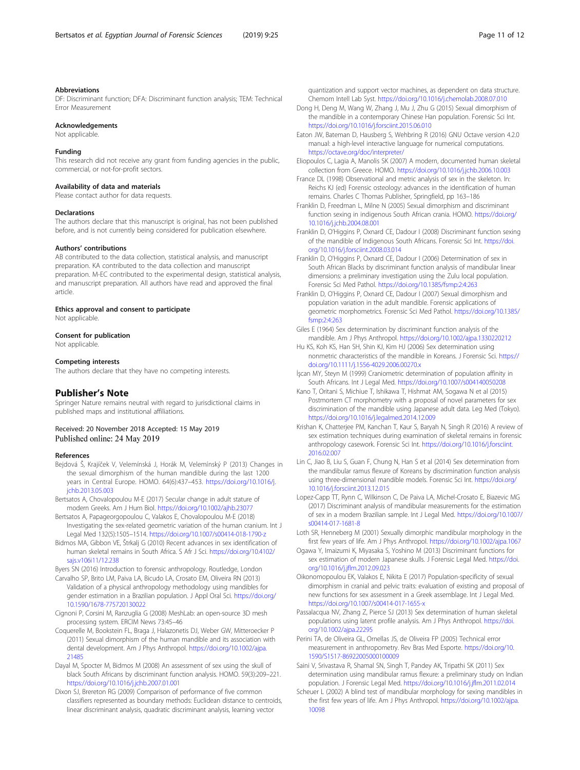#### <span id="page-10-0"></span>Abbreviations

DF: Discriminant function; DFA: Discriminant function analysis; TEM: Technical Error Measurement

#### Acknowledgements

Not applicable.

#### Funding

This research did not receive any grant from funding agencies in the public, commercial, or not-for-profit sectors.

#### Availability of data and materials

Please contact author for data requests.

#### Declarations

The authors declare that this manuscript is original, has not been published before, and is not currently being considered for publication elsewhere.

#### Authors' contributions

AB contributed to the data collection, statistical analysis, and manuscript preparation. KA contributed to the data collection and manuscript preparation. M-EC contributed to the experimental design, statistical analysis, and manuscript preparation. All authors have read and approved the final article.

#### Ethics approval and consent to participate Not applicable.

#### Consent for publication

Not applicable.

#### Competing interests

The authors declare that they have no competing interests.

#### Publisher's Note

Springer Nature remains neutral with regard to jurisdictional claims in published maps and institutional affiliations.

#### Received: 20 November 2018 Accepted: 15 May 2019 Published online: 24 May 2019

#### References

- Bejdová Š, Krajíček V, Velemínská J, Horák M, Velemínský P (2013) Changes in the sexual dimorphism of the human mandible during the last 1200 years in Central Europe. HOMO. 64(6):437–453. [https://doi.org/10.1016/j.](https://doi.org/10.1016/j.jchb.2013.05.003) [jchb.2013.05.003](https://doi.org/10.1016/j.jchb.2013.05.003)
- Bertsatos A, Chovalopoulou M-E (2017) Secular change in adult stature of modern Greeks. Am J Hum Biol. <https://doi.org/10.1002/ajhb.23077>
- Bertsatos A, Papageorgopoulou C, Valakos E, Chovalopoulou M-E (2018) Investigating the sex-related geometric variation of the human cranium. Int J Legal Med 132(5):1505–1514. <https://doi.org/10.1007/s00414-018-1790-z>
- Bidmos MA, Gibbon VE, Štrkalj G (2010) Recent advances in sex identification of human skeletal remains in South Africa. S Afr J Sci. [https://doi.org/10.4102/](https://doi.org/10.4102/sajs.v106i11/12.238) [sajs.v106i11/12.238](https://doi.org/10.4102/sajs.v106i11/12.238)
- Byers SN (2016) Introduction to forensic anthropology. Routledge, London
- Carvalho SP, Brito LM, Paiva LA, Bicudo LA, Crosato EM, Oliveira RN (2013) Validation of a physical anthropology methodology using mandibles for gender estimation in a Brazilian population. J Appl Oral Sci. [https://doi.org/](https://doi.org/10.1590/1678-775720130022) [10.1590/1678-775720130022](https://doi.org/10.1590/1678-775720130022)
- Cignoni P, Corsini M, Ranzuglia G (2008) MeshLab: an open-source 3D mesh processing system. ERCIM News 73:45–46
- Coquerelle M, Bookstein FL, Braga J, Halazonetis DJ, Weber GW, Mitteroecker P (2011) Sexual dimorphism of the human mandible and its association with dental development. Am J Phys Anthropol. [https://doi.org/10.1002/ajpa.](https://doi.org/10.1002/ajpa.21485) [21485](https://doi.org/10.1002/ajpa.21485)
- Dayal M, Spocter M, Bidmos M (2008) An assessment of sex using the skull of black South Africans by discriminant function analysis. HOMO. 59(3):209–221. <https://doi.org/10.1016/j.jchb.2007.01.001>
- Dixon SJ, Brereton RG (2009) Comparison of performance of five common classifiers represented as boundary methods: Euclidean distance to centroids, linear discriminant analysis, quadratic discriminant analysis, learning vector

quantization and support vector machines, as dependent on data structure. Chemom Intell Lab Syst. <https://doi.org/10.1016/j.chemolab.2008.07.010>

- Dong H, Deng M, Wang W, Zhang J, Mu J, Zhu G (2015) Sexual dimorphism of the mandible in a contemporary Chinese Han population. Forensic Sci Int. <https://doi.org/10.1016/j.forsciint.2015.06.010>
- Eaton JW, Bateman D, Hausberg S, Wehbring R (2016) GNU Octave version 4.2.0 manual: a high-level interactive language for numerical computations. <https://octave.org/doc/interpreter/>
- Eliopoulos C, Lagia A, Manolis SK (2007) A modern, documented human skeletal collection from Greece. HOMO. <https://doi.org/10.1016/j.jchb.2006.10.003>
- France DL (1998) Observational and metric analysis of sex in the skeleton. In: Reichs KJ (ed) Forensic osteology: advances in the identification of human remains. Charles C Thomas Publisher, Springfield, pp 163–186
- Franklin D, Freedman L, Milne N (2005) Sexual dimorphism and discriminant function sexing in indigenous South African crania. HOMO. [https://doi.org/](https://doi.org/10.1016/j.jchb.2004.08.001) [10.1016/j.jchb.2004.08.001](https://doi.org/10.1016/j.jchb.2004.08.001)
- Franklin D, O'Higgins P, Oxnard CE, Dadour I (2008) Discriminant function sexing of the mandible of Indigenous South Africans. Forensic Sci Int. [https://doi.](https://doi.org/10.1016/j.forsciint.2008.03.014) [org/10.1016/j.forsciint.2008.03.014](https://doi.org/10.1016/j.forsciint.2008.03.014)
- Franklin D, O'Higgins P, Oxnard CE, Dadour I (2006) Determination of sex in South African Blacks by discriminant function analysis of mandibular linear dimensions: a preliminary investigation using the Zulu local population. Forensic Sci Med Pathol. <https://doi.org/10.1385/fsmp:2:4:263>
- Franklin D, O'Higgins P, Oxnard CE, Dadour I (2007) Sexual dimorphism and population variation in the adult mandible. Forensic applications of geometric morphometrics. Forensic Sci Med Pathol. [https://doi.org/10.1385/](https://doi.org/10.1385/fsmp:2:4:263) [fsmp:2:4:263](https://doi.org/10.1385/fsmp:2:4:263)
- Giles E (1964) Sex determination by discriminant function analysis of the mandible. Am J Phys Anthropol. <https://doi.org/10.1002/ajpa.1330220212>
- Hu KS, Koh KS, Han SH, Shin KJ, Kim HJ (2006) Sex determination using nonmetric characteristics of the mandible in Koreans. J Forensic Sci. [https://](https://doi.org/10.1111/j.1556-4029.2006.00270.x) [doi.org/10.1111/j.1556-4029.2006.00270.x](https://doi.org/10.1111/j.1556-4029.2006.00270.x)
- İşcan MY, Steyn M (1999) Craniometric determination of population affinity in South Africans. Int J Legal Med. <https://doi.org/10.1007/s004140050208>
- Kano T, Oritani S, Michiue T, Ishikawa T, Hishmat AM, Sogawa N et al (2015) Postmortem CT morphometry with a proposal of novel parameters for sex discrimination of the mandible using Japanese adult data. Leg Med (Tokyo). <https://doi.org/10.1016/j.legalmed.2014.12.009>
- Krishan K, Chatterjee PM, Kanchan T, Kaur S, Baryah N, Singh R (2016) A review of sex estimation techniques during examination of skeletal remains in forensic anthropology casework. Forensic Sci Int. [https://doi.org/10.1016/j.forsciint.](https://doi.org/10.1016/j.forsciint.2016.02.007) [2016.02.007](https://doi.org/10.1016/j.forsciint.2016.02.007)
- Lin C, Jiao B, Liu S, Guan F, Chung N, Han S et al (2014) Sex determination from the mandibular ramus flexure of Koreans by discrimination function analysis using three-dimensional mandible models. Forensic Sci Int. [https://doi.org/](https://doi.org/10.1016/j.forsciint.2013.12.015) [10.1016/j.forsciint.2013.12.015](https://doi.org/10.1016/j.forsciint.2013.12.015)
- Lopez-Capp TT, Rynn C, Wilkinson C, De Paiva LA, Michel-Crosato E, Biazevic MG (2017) Discriminant analysis of mandibular measurements for the estimation of sex in a modern Brazilian sample. Int J Legal Med. [https://doi.org/10.1007/](https://doi.org/10.1007/s00414-017-1681-8) [s00414-017-1681-8](https://doi.org/10.1007/s00414-017-1681-8)
- Loth SR, Henneberg M (2001) Sexually dimorphic mandibular morphology in the first few years of life. Am J Phys Anthropol. <https://doi.org/10.1002/ajpa.1067>
- Ogawa Y, Imaizumi K, Miyasaka S, Yoshino M (2013) Discriminant functions for sex estimation of modern Japanese skulls. J Forensic Legal Med. [https://doi.](https://doi.org/10.1016/j.jflm.2012.09.023) [org/10.1016/j.jflm.2012.09.023](https://doi.org/10.1016/j.jflm.2012.09.023)
- Oikonomopoulou EK, Valakos E, Nikita E (2017) Population-specificity of sexual dimorphism in cranial and pelvic traits: evaluation of existing and proposal of new functions for sex assessment in a Greek assemblage. Int J Legal Med. <https://doi.org/10.1007/s00414-017-1655-x>
- Passalacqua NV, Zhang Z, Pierce SJ (2013) Sex determination of human skeletal populations using latent profile analysis. Am J Phys Anthropol. [https://doi.](https://doi.org/10.1002/ajpa.22295) [org/10.1002/ajpa.22295](https://doi.org/10.1002/ajpa.22295)
- Perini TA, de Oliveira GL, Ornellas JS, de Oliveira FP (2005) Technical error measurement in anthropometry. Rev Bras Med Esporte. [https://doi.org/10.](https://doi.org/10.1590/S1517-86922005000100009) [1590/S1517-86922005000100009](https://doi.org/10.1590/S1517-86922005000100009)
- Saini V, Srivastava R, Shamal SN, Singh T, Pandey AK, Tripathi SK (2011) Sex determination using mandibular ramus flexure: a preliminary study on Indian population. J Forensic Legal Med. <https://doi.org/10.1016/j.jflm.2011.02.014>
- Scheuer L (2002) A blind test of mandibular morphology for sexing mandibles in the first few years of life. Am J Phys Anthropol. [https://doi.org/10.1002/ajpa.](https://doi.org/10.1002/ajpa.10098) [10098](https://doi.org/10.1002/ajpa.10098)